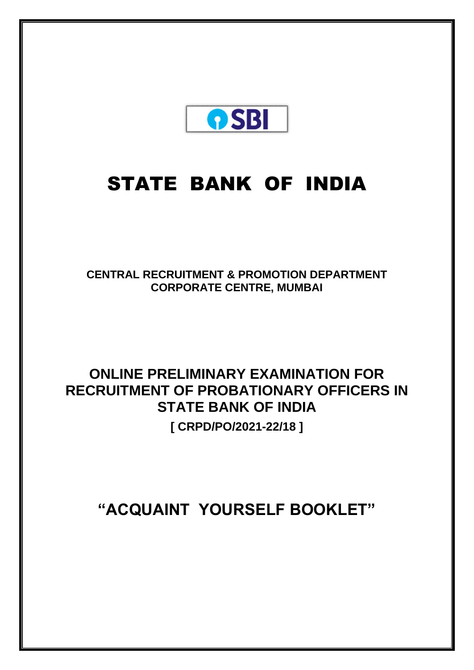

# STATE BANK OF INDIA

**CENTRAL RECRUITMENT & PROMOTION DEPARTMENT CORPORATE CENTRE, MUMBAI**

# **ONLINE PRELIMINARY EXAMINATION FOR RECRUITMENT OF PROBATIONARY OFFICERS IN STATE BANK OF INDIA [ CRPD/PO/2021-22/18 ]**

**"ACQUAINT YOURSELF BOOKLET"**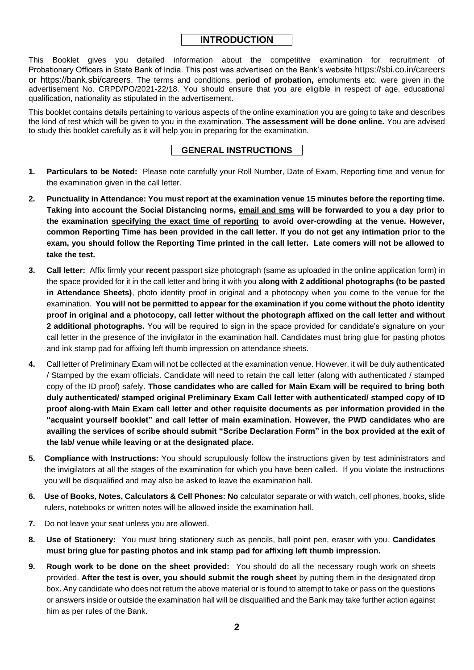# **INTRODUCTION**

This Booklet gives you detailed information about the competitive examination for recruitment of Probationary Officers in State Bank of India. This post was advertised on the Bank's website https://sbi.co.in/careers or https://bank.sbi/careers. The terms and conditions, **period of probation,** emoluments etc. were given in the advertisement No. CRPD/PO/2021-22/18. You should ensure that you are eligible in respect of age, educational qualification, nationality as stipulated in the advertisement.

This booklet contains details pertaining to various aspects of the online examination you are going to take and describes the kind of test which will be given to you in the examination. **The assessment will be done online.** You are advised to study this booklet carefully as it will help you in preparing for the examination.

# **GENERAL INSTRUCTIONS**

- **1. Particulars to be Noted:** Please note carefully your Roll Number, Date of Exam, Reporting time and venue for the examination given in the call letter.
- **2. Punctuality in Attendance: You must report at the examination venue 15 minutes before the reporting time. Taking into account the Social Distancing norms, email and sms will be forwarded to you a day prior to the examination specifying the exact time of reporting to avoid over-crowding at the venue. However, common Reporting Time has been provided in the call letter. If you do not get any intimation prior to the exam, you should follow the Reporting Time printed in the call letter. Late comers will not be allowed to take the test.**
- **3. Call letter:** Affix firmly your **recent** passport size photograph (same as uploaded in the online application form) in the space provided for it in the call letter and bring it with you **along with 2 additional photographs (to be pasted in Attendance Sheets)**, photo identity proof in original and a photocopy when you come to the venue for the examination. **You will not be permitted to appear for the examination if you come without the photo identity proof in original and a photocopy, call letter without the photograph affixed on the call letter and without 2 additional photographs.** You will be required to sign in the space provided for candidate's signature on your call letter in the presence of the invigilator in the examination hall. Candidates must bring glue for pasting photos and ink stamp pad for affixing left thumb impression on attendance sheets.
- **4.** Call letter of Preliminary Exam will not be collected at the examination venue. However, it will be duly authenticated / Stamped by the exam officials. Candidate will need to retain the call letter (along with authenticated / stamped copy of the ID proof) safely. **Those candidates who are called for Main Exam will be required to bring both duly authenticated/ stamped original Preliminary Exam Call letter with authenticated/ stamped copy of ID proof along-with Main Exam call letter and other requisite documents as per information provided in the "acquaint yourself booklet" and call letter of main examination. However, the PWD candidates who are availing the services of scribe should submit "Scribe Declaration Form" in the box provided at the exit of the lab/ venue while leaving or at the designated place.**
- **5. Compliance with Instructions:** You should scrupulously follow the instructions given by test administrators and the invigilators at all the stages of the examination for which you have been called. If you violate the instructions you will be disqualified and may also be asked to leave the examination hall.
- **6. Use of Books, Notes, Calculators & Cell Phones: No** calculator separate or with watch, cell phones, books, slide rulers, notebooks or written notes will be allowed inside the examination hall.
- **7.** Do not leave your seat unless you are allowed.
- **8. Use of Stationery:** You must bring stationery such as pencils, ball point pen, eraser with you. **Candidates must bring glue for pasting photos and ink stamp pad for affixing left thumb impression.**
- **9. Rough work to be done on the sheet provided:** You should do all the necessary rough work on sheets provided. **After the test is over, you should submit the rough sheet** by putting them in the designated drop box**.** Any candidate who does not return the above material or is found to attempt to take or pass on the questions or answers inside or outside the examination hall will be disqualified and the Bank may take further action against him as per rules of the Bank.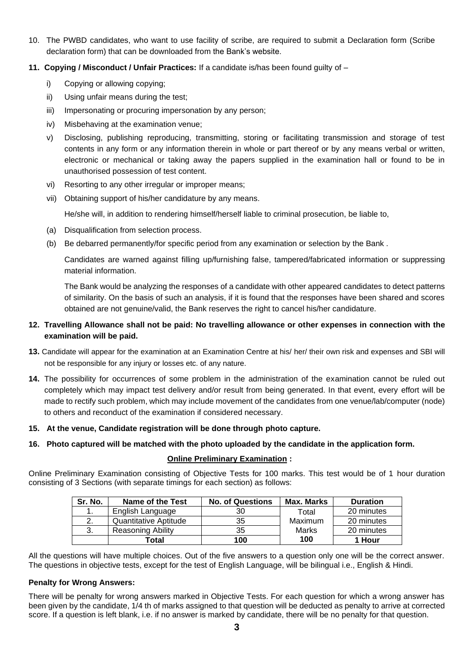- 10. The PWBD candidates, who want to use facility of scribe, are required to submit a Declaration form (Scribe declaration form) that can be downloaded from the Bank's website.
- **11. Copying / Misconduct / Unfair Practices:** If a candidate is/has been found guilty of
	- i) Copying or allowing copying;
	- ii) Using unfair means during the test;
	- iii) Impersonating or procuring impersonation by any person;
	- iv) Misbehaving at the examination venue;
	- v) Disclosing, publishing reproducing, transmitting, storing or facilitating transmission and storage of test contents in any form or any information therein in whole or part thereof or by any means verbal or written, electronic or mechanical or taking away the papers supplied in the examination hall or found to be in unauthorised possession of test content.
	- vi) Resorting to any other irregular or improper means;
	- vii) Obtaining support of his/her candidature by any means.

He/she will, in addition to rendering himself/herself liable to criminal prosecution, be liable to,

- (a) Disqualification from selection process.
- (b) Be debarred permanently/for specific period from any examination or selection by the Bank .

Candidates are warned against filling up/furnishing false, tampered/fabricated information or suppressing material information.

The Bank would be analyzing the responses of a candidate with other appeared candidates to detect patterns of similarity. On the basis of such an analysis, if it is found that the responses have been shared and scores obtained are not genuine/valid, the Bank reserves the right to cancel his/her candidature.

#### **12. Travelling Allowance shall not be paid: No travelling allowance or other expenses in connection with the examination will be paid.**

- **13.** Candidate will appear for the examination at an Examination Centre at his/ her/ their own risk and expenses and SBI will not be responsible for any injury or losses etc. of any nature.
- **14.** The possibility for occurrences of some problem in the administration of the examination cannot be ruled out completely which may impact test delivery and/or result from being generated. In that event, every effort will be made to rectify such problem, which may include movement of the candidates from one venue/lab/computer (node) to others and reconduct of the examination if considered necessary.
- **15. At the venue, Candidate registration will be done through photo capture.**
- **16. Photo captured will be matched with the photo uploaded by the candidate in the application form.**

# **Online Preliminary Examination :**

Online Preliminary Examination consisting of Objective Tests for 100 marks. This test would be of 1 hour duration consisting of 3 Sections (with separate timings for each section) as follows:

| Sr. No. | Name of the Test      | <b>No. of Questions</b> | Max. Marks | <b>Duration</b> |
|---------|-----------------------|-------------------------|------------|-----------------|
|         | English Language      | 30                      | Total      | 20 minutes      |
|         | Quantitative Aptitude | 35                      | Maximum    | 20 minutes      |
| -3.     | Reasoning Ability     | 35                      | Marks      | 20 minutes      |
|         | Total                 | 100                     | 100        | 1 Hour          |

All the questions will have multiple choices. Out of the five answers to a question only one will be the correct answer. The questions in objective tests, except for the test of English Language, will be bilingual i.e., English & Hindi.

#### **Penalty for Wrong Answers:**

There will be penalty for wrong answers marked in Objective Tests. For each question for which a wrong answer has been given by the candidate, 1/4 th of marks assigned to that question will be deducted as penalty to arrive at corrected score. If a question is left blank, i.e. if no answer is marked by candidate, there will be no penalty for that question.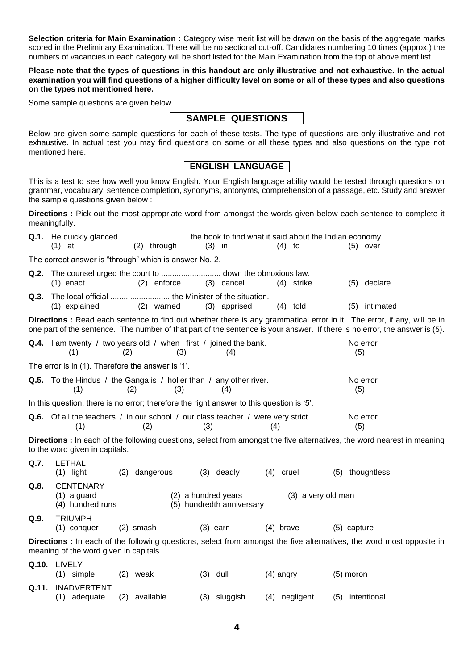**Selection criteria for Main Examination :** Category wise merit list will be drawn on the basis of the aggregate marks scored in the Preliminary Examination. There will be no sectional cut-off. Candidates numbering 10 times (approx.) the numbers of vacancies in each category will be short listed for the Main Examination from the top of above merit list.

**Please note that the types of questions in this handout are only illustrative and not exhaustive. In the actual examination you will find questions of a higher difficulty level on some or all of these types and also questions on the types not mentioned here.**

Some sample questions are given below.

# **SAMPLE QUESTIONS**

Below are given some sample questions for each of these tests. The type of questions are only illustrative and not exhaustive. In actual test you may find questions on some or all these types and also questions on the type not mentioned here.

# **ENGLISH LANGUAGE**

This is a test to see how well you know English. Your English language ability would be tested through questions on grammar, vocabulary, sentence completion, synonyms, antonyms, comprehension of a passage, etc. Study and answer the sample questions given below :

**Directions :** Pick out the most appropriate word from amongst the words given below each sentence to complete it meaningfully.

|                                                                                                                                                                 | $(1)$ at                                                                                       |             | $(2)$ through |     | $(3)$ in                                         |             | $(4)$ to           |               |     | $(5)$ over                                                                                                                                                                                                                                            |
|-----------------------------------------------------------------------------------------------------------------------------------------------------------------|------------------------------------------------------------------------------------------------|-------------|---------------|-----|--------------------------------------------------|-------------|--------------------|---------------|-----|-------------------------------------------------------------------------------------------------------------------------------------------------------------------------------------------------------------------------------------------------------|
|                                                                                                                                                                 | The correct answer is "through" which is answer No. 2.                                         |             |               |     |                                                  |             |                    |               |     |                                                                                                                                                                                                                                                       |
|                                                                                                                                                                 |                                                                                                |             |               |     |                                                  |             |                    |               |     |                                                                                                                                                                                                                                                       |
|                                                                                                                                                                 | $(1)$ enact                                                                                    |             | (2) enforce   |     | (3) cancel                                       |             | (4) strike         |               |     | (5) declare                                                                                                                                                                                                                                           |
| Q.3.                                                                                                                                                            |                                                                                                |             |               |     |                                                  |             |                    |               |     |                                                                                                                                                                                                                                                       |
|                                                                                                                                                                 | (1) explained                                                                                  |             | (2) warned    |     | (3) apprised                                     |             | $(4)$ told         |               | (5) | intimated                                                                                                                                                                                                                                             |
|                                                                                                                                                                 |                                                                                                |             |               |     |                                                  |             |                    |               |     | Directions : Read each sentence to find out whether there is any grammatical error in it. The error, if any, will be in<br>one part of the sentence. The number of that part of the sentence is your answer. If there is no error, the answer is (5). |
|                                                                                                                                                                 | <b>Q.4.</b> I am twenty / two years old / when I first / joined the bank.<br>(1)               | (2)         | (3)           |     | (4)                                              |             |                    |               | (5) | No error                                                                                                                                                                                                                                              |
|                                                                                                                                                                 | The error is in (1). Therefore the answer is '1'.                                              |             |               |     |                                                  |             |                    |               |     |                                                                                                                                                                                                                                                       |
|                                                                                                                                                                 | <b>Q.5.</b> To the Hindus / the Ganga is / holier than / any other river.<br>(1)               | (2)         | (3)           |     | (4)                                              |             |                    |               | (5) | No error                                                                                                                                                                                                                                              |
|                                                                                                                                                                 | In this question, there is no error; therefore the right answer to this question is '5'.       |             |               |     |                                                  |             |                    |               |     |                                                                                                                                                                                                                                                       |
|                                                                                                                                                                 | <b>Q.6.</b> Of all the teachers / in our school / our class teacher / were very strict.<br>(1) |             | (2)           | (3) |                                                  | (4)         |                    |               | (5) | No error                                                                                                                                                                                                                                              |
|                                                                                                                                                                 | to the word given in capitals.                                                                 |             |               |     |                                                  |             |                    |               |     | Directions : In each of the following questions, select from amongst the five alternatives, the word nearest in meaning                                                                                                                               |
| Q.7.                                                                                                                                                            | <b>LETHAL</b><br>$(1)$ light                                                                   |             | (2) dangerous |     | $(3)$ deadly                                     | $(4)$ cruel |                    |               |     | (5) thoughtless                                                                                                                                                                                                                                       |
| Q.8.                                                                                                                                                            | <b>CENTENARY</b><br>$(1)$ a guard<br>(4) hundred runs                                          |             |               |     | (2) a hundred years<br>(5) hundredth anniversary |             | (3) a very old man |               |     |                                                                                                                                                                                                                                                       |
| Q.9.                                                                                                                                                            | <b>TRIUMPH</b><br>$(1)$ conquer                                                                | $(2)$ smash |               |     | $(3)$ earn                                       | $(4)$ brave |                    | $(5)$ capture |     |                                                                                                                                                                                                                                                       |
| Directions : In each of the following questions, select from amongst the five alternatives, the word most opposite in<br>meaning of the word given in capitals. |                                                                                                |             |               |     |                                                  |             |                    |               |     |                                                                                                                                                                                                                                                       |
|                                                                                                                                                                 | Q.10. LIVELY<br>$(1)$ simple                                                                   | $(2)$ weak  |               |     | $(3)$ dull                                       | $(4)$ angry |                    | $(5)$ moron   |     |                                                                                                                                                                                                                                                       |
| Q.11.                                                                                                                                                           | <b>INADVERTENT</b><br>(1) adequate                                                             |             | (2) available |     | (3) sluggish                                     |             | (4) negligent      |               |     | (5) intentional                                                                                                                                                                                                                                       |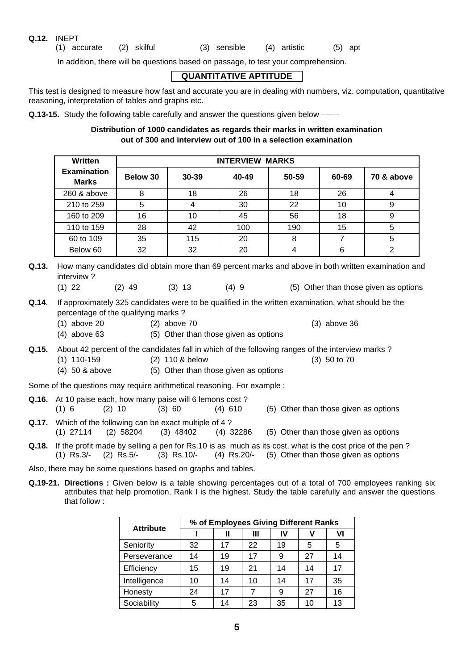#### **Q.12.** INEPT

(1) accurate (2) skilful (3) sensible (4) artistic (5) apt

In addition, there will be questions based on passage, to test your comprehension.

# **QUANTITATIVE APTITUDE**

This test is designed to measure how fast and accurate you are in dealing with numbers, viz. computation, quantitative reasoning, interpretation of tables and graphs etc.

**Q.13-15.** Study the following table carefully and answer the questions given below -

#### **Distribution of 1000 candidates as regards their marks in written examination out of 300 and interview out of 100 in a selection examination**

| <b>Written</b>                     | <b>INTERVIEW MARKS</b> |       |       |       |       |            |  |  |  |
|------------------------------------|------------------------|-------|-------|-------|-------|------------|--|--|--|
| <b>Examination</b><br><b>Marks</b> | Below 30               | 30-39 | 40-49 | 50-59 | 60-69 | 70 & above |  |  |  |
| 260 & above                        | 8                      | 18    | 26    | 18    | 26    | 4          |  |  |  |
| 210 to 259                         | 5                      | 4     | 30    | 22    | 10    | 9          |  |  |  |
| 160 to 209                         | 16                     | 10    | 45    | 56    | 18    | 9          |  |  |  |
| 110 to 159                         | 28                     | 42    | 100   | 190   | 15    | 5          |  |  |  |
| 60 to 109                          | 35                     | 115   | 20    | 8     |       | 5          |  |  |  |
| Below 60                           | 32                     | 32    | 20    |       | 6     |            |  |  |  |

- **Q.13.** How many candidates did obtain more than 69 percent marks and above in both written examination and interview ?
	- (1) 22 (2) 49 (3) 13 (4) 9 (5) Other than those given as options
- **Q.14**. If approximately 325 candidates were to be qualified in the written examination, what should be the percentage of the qualifying marks ?
	- (1) above 20 (2) above 70 (3) above 36
	- (4) above 63 (5) Other than those given as options
- **Q.15.** About 42 percent of the candidates fall in which of the following ranges of the interview marks ?
	- (1) 110-159 (2) 110 & below (3) 50 to 70
		- (4) 50 & above (5) Other than those given as options

Some of the questions may require arithmetical reasoning. For example :

- **Q.16.** At 10 paise each, how many paise will 6 lemons cost ? (1) 6 (2) 10 (3) 60 (4) 610 (5) Other than those given as options
- **Q.17.** Which of the following can be exact multiple of 4 ? (1) 27114 (2) 58204 (3) 48402 (4) 32286 (5) Other than those given as options
- **Q.18.** If the profit made by selling a pen for Rs.10 is as much as its cost, what is the cost price of the pen ? (1) Rs.3/- (2) Rs.5/- (3) Rs.10/- (4) Rs.20/- (5) Other than those given as options

Also, there may be some questions based on graphs and tables.

**Q.19-21. Directions :** Given below is a table showing percentages out of a total of 700 employees ranking six attributes that help promotion. Rank I is the highest. Study the table carefully and answer the questions that follow :

| <b>Attribute</b> | % of Employees Giving Different Ranks |    |    |    |    |    |  |  |  |
|------------------|---------------------------------------|----|----|----|----|----|--|--|--|
|                  |                                       | Ш  | Ш  | IV |    | VI |  |  |  |
| Seniority        | 32                                    | 17 | 22 | 19 | 5  | 5  |  |  |  |
| Perseverance     | 14                                    | 19 | 17 | 9  | 27 | 14 |  |  |  |
| Efficiency       | 15                                    | 19 | 21 | 14 | 14 | 17 |  |  |  |
| Intelligence     | 10                                    | 14 | 10 | 14 | 17 | 35 |  |  |  |
| Honesty          | 24                                    | 17 | 7  | 9  | 27 | 16 |  |  |  |
| Sociability      | 5                                     | 14 | 23 | 35 | 10 | 13 |  |  |  |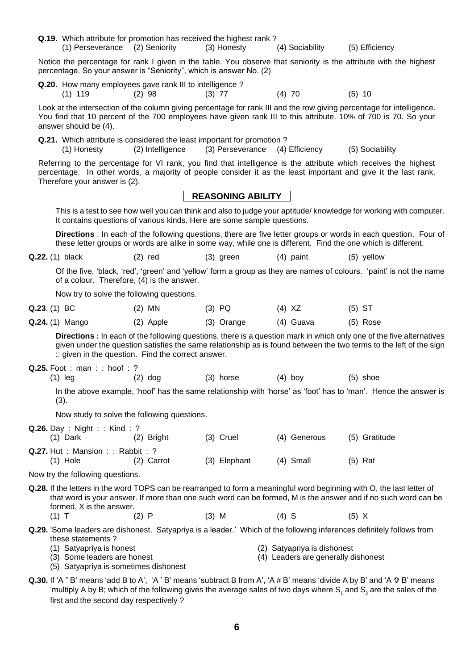- **Q.19.** Which attribute for promotion has received the highest rank ? (1) Perseverance (2) Seniority (3) Honesty (4) Sociability (5) Efficiency Notice the percentage for rank I given in the table. You observe that seniority is the attribute with the highest percentage. So your answer is "Seniority", which is answer No. (2) **Q.20.** How many employees gave rank III to intelligence ? (1) 119 (2) 98 (3) 77 (4) 70 (5) 10 Look at the intersection of the column giving percentage for rank III and the row giving percentage for intelligence. You find that 10 percent of the 700 employees have given rank III to this attribute. 10% of 700 is 70. So your answer should be (4). **Q.21.** Which attribute is considered the least important for promotion ?<br>(1) Honesty (2) Intelligence (3) Perseverance (4) (1) Honesty (2) Intelligence (3) Perseverance (4) Efficiency (5) Sociability Referring to the percentage for VI rank, you find that intelligence is the attribute which receives the highest percentage. In other words, a majority of people consider it as the least important and give it the last rank. Therefore your answer is (2). **REASONING ABILITY** This is a test to see how well you can think and also to judge your aptitude/ knowledge for working with computer. It contains questions of various kinds. Here are some sample questions. **Directions** : In each of the following questions, there are five letter groups or words in each question. Four of these letter groups or words are alike in some way, while one is different. Find the one which is different. **Q.22.** (1) black (2) red (3) green (4) paint (5) yellow Of the five, 'black, 'red', 'green' and 'yellow' form a group as they are names of colours. 'paint' is not the name of a colour. Therefore, (4) is the answer. Now try to solve the following questions. **Q.23**. (1) BC (2) MN (3) PQ (4) XZ (5) ST **Q.24.** (1) Mango (2) Apple (3) Orange (4) Guava (5) Rose **Directions :** In each of the following questions, there is a question mark in which only one of the five alternatives given under the question satisfies the same relationship as is found between the two terms to the left of the sign :: given in the question. Find the correct answer. **Q.25.** Foot : man : : hoof : ? (1) leg (2) dog (3) horse (4) boy (5) shoe In the above example, 'hoof' has the same relationship with 'horse' as 'foot' has to 'man'. Hence the answer is (3). Now study to solve the following questions. **Q.26.** Day : Night : : Kind : ? (1) Dark (2) Bright (3) Cruel (4) Generous (5) Gratitude **Q.27.** Hut : Mansion : : Rabbit : ? (1) Hole (2) Carrot (3) Elephant (4) Small (5) Rat Now try the following questions. **Q.28.** If the letters in the word TOPS can be rearranged to form a meaningful word beginning with O, the last letter of that word is your answer. If more than one such word can be formed, M is the answer and if no such word can be formed, X is the answer. (1) T (2) P (3) M (4) S (5) X **Q.29.** 'Some leaders are dishonest. Satyapriya is a leader.' Which of the following inferences definitely follows from these statements ? (1) Satyapriya is honest (2) Satyapriya is dishonest (3) Some leaders are honest (4) Leaders are generally dishonest (5) Satyapriya is sometimes dishonest
- **Q.30.** If 'A " B' means 'add B to A', 'A ' B' means 'subtract B from A', 'A # B' means 'divide A by B' and 'A B' means 'multiply A by B; which of the following gives the average sales of two days where S<sub>1</sub> and S<sub>2</sub> are the sales of the first and the second day respectively ?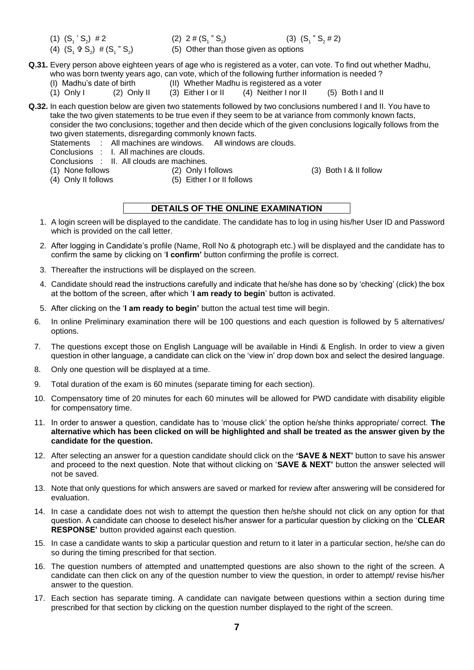- (1)  $(S_1 S_2) \neq 2$  (2)  $2 \neq (S_1)$
- $(4)$   $(S_1 \oplus S_2) \neq (S_1 \oplus S_2)$
- (2)  $2 \# (S_1 " S_2)$
- (3)  $(S_1 " S_2 # 2)$ ) (5) Other than those given as options
- **Q.31.** Every person above eighteen years of age who is registered as a voter, can vote. To find out whether Madhu, who was born twenty years ago, can vote, which of the following further information is needed ?<br>(I) Madhu's date of birth (II) Whether Madhu is registered as a voter
	-
	- (II) Whether Madhu is registered as a voter (3) Either I or II  $(4)$  Neither I nor II  $(1)$  Only I  $(2)$  Only II  $(3)$  Either I or II  $(4)$  Neither I nor II  $(5)$  Both I and II

**Q.32.** In each question below are given two statements followed by two conclusions numbered I and II. You have to take the two given statements to be true even if they seem to be at variance from commonly known facts, consider the two conclusions; together and then decide which of the given conclusions logically follows from the two given statements, disregarding commonly known facts.

Statements : All machines are windows. All windows are clouds.

- Conclusions : I. All machines are clouds.
- Conclusions : II. All clouds are machines.<br>(1) None follows (2) Only I
- 
- 

(2) Only I follows (3) Both I & II follow

- 
- 

- 
- (4) Only II follows (5) Either I or II follows

# **DETAILS OF THE ONLINE EXAMINATION**

- 1. A login screen will be displayed to the candidate. The candidate has to log in using his/her User ID and Password which is provided on the call letter.
- 2. After logging in Candidate's profile (Name, Roll No & photograph etc.) will be displayed and the candidate has to confirm the same by clicking on '**I confirm'** button confirming the profile is correct.
- 3. Thereafter the instructions will be displayed on the screen.
- 4. Candidate should read the instructions carefully and indicate that he/she has done so by 'checking' (click) the box at the bottom of the screen, after which '**I am ready to begin**' button is activated.
- 5. After clicking on the '**I am ready to begin'** button the actual test time will begin.
- 6. In online Preliminary examination there will be 100 questions and each question is followed by 5 alternatives/ options.
- 7. The questions except those on English Language will be available in Hindi & English. In order to view a given question in other language, a candidate can click on the 'view in' drop down box and select the desired language.
- 8. Only one question will be displayed at a time.
- 9. Total duration of the exam is 60 minutes (separate timing for each section).
- 10. Compensatory time of 20 minutes for each 60 minutes will be allowed for PWD candidate with disability eligible for compensatory time.
- 11. In order to answer a question, candidate has to 'mouse click' the option he/she thinks appropriate/ correct. **The alternative which has been clicked on will be highlighted and shall be treated as the answer given by the candidate for the question.**
- 12. After selecting an answer for a question candidate should click on the **'SAVE & NEXT'** button to save his answer and proceed to the next question. Note that without clicking on '**SAVE & NEXT'** button the answer selected will not be saved.
- 13. Note that only questions for which answers are saved or marked for review after answering will be considered for evaluation.
- 14. In case a candidate does not wish to attempt the question then he/she should not click on any option for that question. A candidate can choose to deselect his/her answer for a particular question by clicking on the '**CLEAR RESPONSE'** button provided against each question.
- 15. In case a candidate wants to skip a particular question and return to it later in a particular section, he/she can do so during the timing prescribed for that section.
- 16. The question numbers of attempted and unattempted questions are also shown to the right of the screen. A candidate can then click on any of the question number to view the question, in order to attempt/ revise his/her answer to the question.
- 17. Each section has separate timing. A candidate can navigate between questions within a section during time prescribed for that section by clicking on the question number displayed to the right of the screen.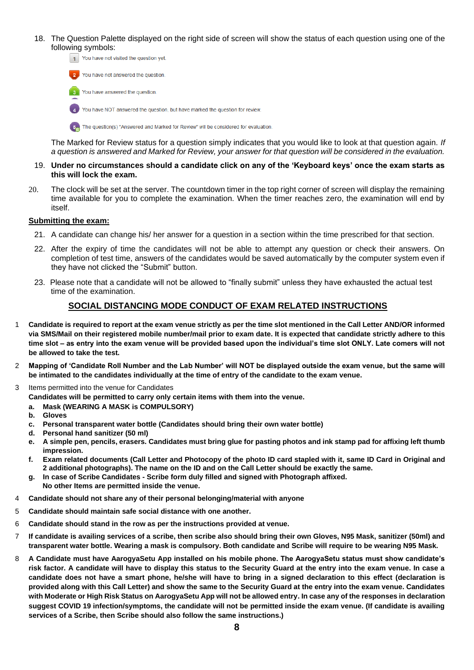18. The Question Palette displayed on the right side of screen will show the status of each question using one of the following symbols:



**5.** The question(s) "Answered and Marked for Review" will be considered for evaluation.

The Marked for Review status for a question simply indicates that you would like to look at that question again. *If a question is answered and Marked for Review, your answer for that question will be considered in the evaluation.* 

- 19. **Under no circumstances should a candidate click on any of the 'Keyboard keys' once the exam starts as this will lock the exam.**
- 20. The clock will be set at the server. The countdown timer in the top right corner of screen will display the remaining time available for you to complete the examination. When the timer reaches zero, the examination will end by itself.

#### **Submitting the exam:**

- 21. A candidate can change his/ her answer for a question in a section within the time prescribed for that section.
- 22. After the expiry of time the candidates will not be able to attempt any question or check their answers. On completion of test time, answers of the candidates would be saved automatically by the computer system even if they have not clicked the "Submit" button.
- 23. Please note that a candidate will not be allowed to "finally submit" unless they have exhausted the actual test time of the examination.

#### **SOCIAL DISTANCING MODE CONDUCT OF EXAM RELATED INSTRUCTIONS**

- 1 **Candidate is required to report at the exam venue strictly as per the time slot mentioned in the Call Letter AND/OR informed via SMS/Mail on their registered mobile number/mail prior to exam date. It is expected that candidate strictly adhere to this time slot – as entry into the exam venue will be provided based upon the individual's time slot ONLY. Late comers will not be allowed to take the test.**
- 2 **Mapping of 'Candidate Roll Number and the Lab Number' will NOT be displayed outside the exam venue, but the same will be intimated to the candidates individually at the time of entry of the candidate to the exam venue.**
- 3 Items permitted into the venue for Candidates

**Candidates will be permitted to carry only certain items with them into the venue.** 

- **a. Mask (WEARING A MASK is COMPULSORY)**
- **b. Gloves**
- **c. Personal transparent water bottle (Candidates should bring their own water bottle)**
- **d. Personal hand sanitizer (50 ml)**
- **e. A simple pen, pencils, erasers. Candidates must bring glue for pasting photos and ink stamp pad for affixing left thumb impression.**
- **f. Exam related documents (Call Letter and Photocopy of the photo ID card stapled with it, same ID Card in Original and 2 additional photographs). The name on the ID and on the Call Letter should be exactly the same.**
- **g. In case of Scribe Candidates - Scribe form duly filled and signed with Photograph affixed. No other Items are permitted inside the venue.**
- 4 **Candidate should not share any of their personal belonging/material with anyone**
- 5 **Candidate should maintain safe social distance with one another.**
- 6 **Candidate should stand in the row as per the instructions provided at venue.**
- 7 **If candidate is availing services of a scribe, then scribe also should bring their own Gloves, N95 Mask, sanitizer (50ml) and transparent water bottle. Wearing a mask is compulsory. Both candidate and Scribe will require to be wearing N95 Mask.**
- 8 **A Candidate must have AarogyaSetu App installed on his mobile phone. The AarogyaSetu status must show candidate's risk factor. A candidate will have to display this status to the Security Guard at the entry into the exam venue. In case a candidate does not have a smart phone, he/she will have to bring in a signed declaration to this effect (declaration is provided along with this Call Letter) and show the same to the Security Guard at the entry into the exam venue. Candidates with Moderate or High Risk Status on AarogyaSetu App will not be allowed entry. In case any of the responses in declaration suggest COVID 19 infection/symptoms, the candidate will not be permitted inside the exam venue. (If candidate is availing services of a Scribe, then Scribe should also follow the same instructions.)**